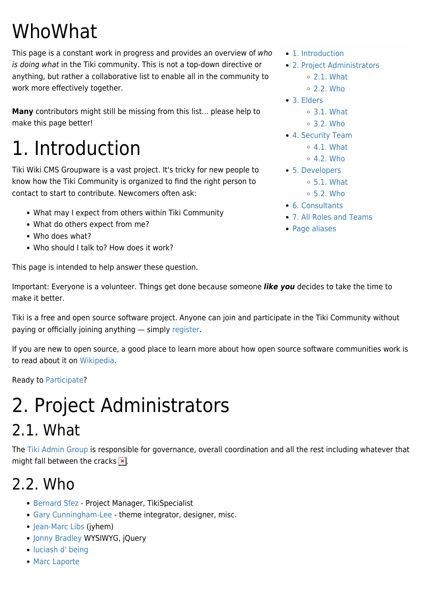# WhoWhat

This page is a constant work in progress and provides an overview of who is doing what in the Tiki community. This is not a top-down directive or anything, but rather a collaborative list to enable all in the community to work more effectively together.

**Many** contributors might still be missing from this list... please help to make this page better!

# 1. Introduction

Tiki Wiki CMS Groupware is a vast project. It's tricky for new people to know how the Tiki Community is organized to find the right person to contact to start to contribute. Newcomers often ask:

- What may I expect from others within Tiki Community
- What do others expect from me?
- Who does what?
- Who should I talk to? How does it work?

This page is intended to help answer these question.

Important: Everyone is a volunteer. Things get done because someone *like you* decides to take the time to make it better.

Tiki is a free and open source software project. Anyone can join and participate in the Tiki Community without paying or officially joining anything — simply [register](https://translation.tiki.org/tiki-register.php?key=randomstring).

If you are new to open source, a good place to learn more about how open source software communities work is to read about it on [Wikipedia](http://en.wikipedia.org/wiki/Open_source_software).

Ready to [Participate?](https://translation.tiki.org/Participate)

# 2. Project Administrators

#### 2.1. What

The [Tiki Admin Group](https://translation.tiki.org/Tiki-Admin-Group) is responsible for governance, overall coordination and all the rest including whatever that might fall between the cracks  $\mathbf{x}$ .

#### 2.2. Who

- [Bernard Sfez](https://translation.tiki.org/UserPageBsfez)  Project Manager, TikiSpecialist
- [Gary Cunningham-Lee](https://translation.tiki.org/UserPagechibaguy) theme integrator, designer, misc.
- [Jean-Marc Libs](https://translation.tiki.org/UserPageJyhem) (jyhem)
- [Jonny Bradley](https://translation.tiki.org/UserPagejonnybradley) WYSIWYG, jQuery
- [luciash d' being](https://translation.tiki.org/UserPageluci)
- [Marc Laporte](https://translation.tiki.org/UserPagemarclaporte)
- [1. Introduction](#page--1-0)
- [2. Project Administrators](#page--1-0)
	- [2.1. What](#page--1-0)
	- [2.2. Who](#page--1-0)
- [3. Elders](#page--1-0)
	- [3.1. What](#page--1-0)
	- [3.2. Who](#page--1-0)
- [4. Security Team](#page--1-0)
	- [4.1. What](#page--1-0)
	- $0.4.2.$  Who
- [5. Developers](#page--1-0)  $\circ$  [5.1. What](#page--1-0)
	- $0.5.2$ . Who
- [6. Consultants](#page--1-0)
- [7. All Roles and Teams](#page--1-0)
- [Page aliases](#page--1-0)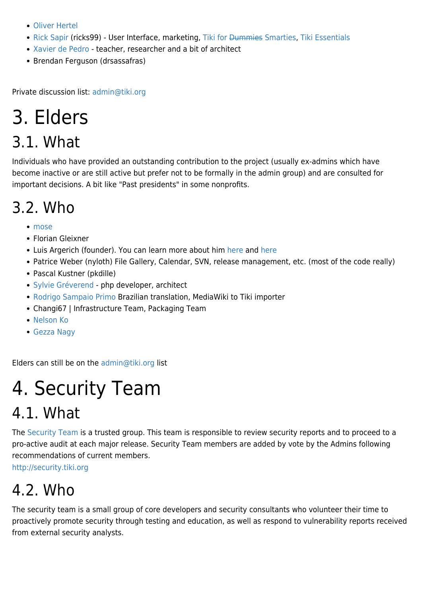- [Oliver Hertel](https://translation.tiki.org/UserPageohertel)
- [Rick Sapir](https://translation.tiki.org/UserPagericks99) (ricks99) User Interface, marketing, Tiki for <del>Dummies</del> Smarties, [Tiki Essentials](http://twessentials.keycontent.org)
- [Xavier de Pedro](https://translation.tiki.org/UserPagexavidp)  teacher, researcher and a bit of architect
- Brendan Ferguson (drsassafras)

Private discussion list: [admin@tiki.org](mailto:admin@tiki.org)

### 3. Elders

#### 3.1. What

Individuals who have provided an outstanding contribution to the project (usually ex-admins which have become inactive or are still active but prefer not to be formally in the admin group) and are consulted for important decisions. A bit like "Past presidents" in some nonprofits.

### 3.2. Who

- [mose](https://translation.tiki.org/UserPagemose)
- Florian Gleixner
- Luis Argerich (founder). You can learn more about him [here](http://tiki.org/AboutLuisArgerich) and [here](http://tiki.org/tiki-read_article.php?articleId=29)
- Patrice Weber (nyloth) File Gallery, Calendar, SVN, release management, etc. (most of the code really)
- Pascal Kustner (pkdille)
- [Sylvie Gréverend](https://translation.tiki.org/UserPagesylvieg) php developer, architect
- [Rodrigo Sampaio Primo](https://translation.tiki.org/UserPagerodrigo) Brazilian translation, MediaWiki to Tiki importer
- Changi67 | Infrastructure Team, Packaging Team
- [Nelson Ko](https://translation.tiki.org/UserPagekoth)
- [Gezza Nagy](https://translation.tiki.org/UserPagegezza)

Elders can still be on the [admin@tiki.org](mailto:admin@tiki.org) list

### 4. Security Team

#### 4.1. What

The [Security Team](https://translation.tiki.org/Security-Team) is a trusted group. This team is responsible to review security reports and to proceed to a pro-active audit at each major release. Security Team members are added by vote by the Admins following recommendations of current members.

<http://security.tiki.org>

#### 4.2. Who

The security team is a small group of core developers and security consultants who volunteer their time to proactively promote security through testing and education, as well as respond to vulnerability reports received from external security analysts.